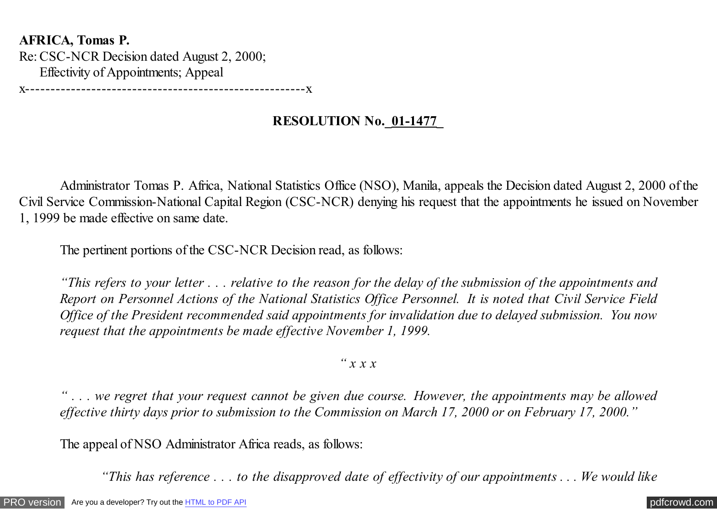**AFRICA, Tomas P.** Re: CSC-NCR Decision dated August 2, 2000; Effectivity of Appointments; Appeal

x-------------------------------------------------------x

## **RESOLUTION No.\_01-1477\_**

 Administrator Tomas P. Africa, National Statistics Office (NSO), Manila, appeals the Decision dated August 2, 2000 of the Civil Service Commission-National Capital Region (CSC-NCR) denying his request that the appointments he issued on November 1, 1999 be made effective on same date.

The pertinent portions of the CSC-NCR Decision read, as follows:

*"This refers to your letter . . . relative to the reason for the delay of the submission of the appointments and Report on Personnel Actions of the National Statistics Office Personnel. It is noted that Civil Service Field Office of the President recommended said appointments for invalidation due to delayed submission. You now request that the appointments be made effective November 1, 1999.*

## *" x x x*

*" . . . we regret that your request cannot be given due course. However, the appointments may be allowed effective thirty days prior to submission to the Commission on March 17, 2000 or on February 17, 2000."*

The appeal of NSO Administrator Africa reads, as follows:

 *"This has reference . . . to the disapproved date of effectivity of our appointments . . . We would like*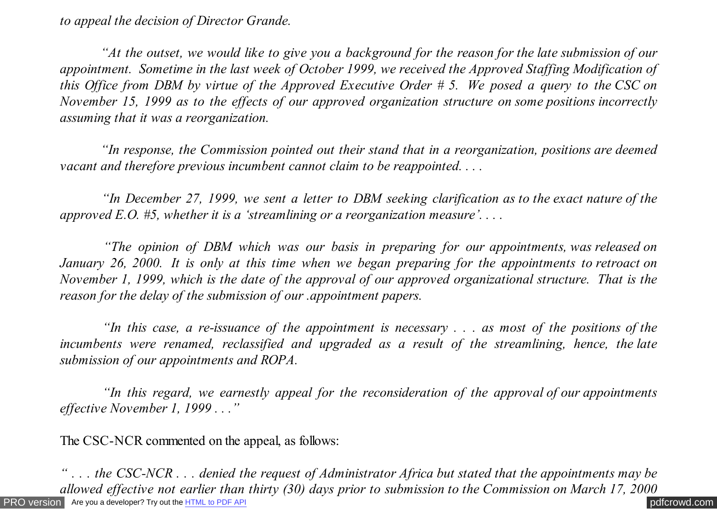*to appeal the decision of Director Grande.*

 *"At the outset, we would like to give you a background for the reason for the late submission of our appointment. Sometime in the last week of October 1999, we received the Approved Staffing Modification of this Office from DBM by virtue of the Approved Executive Order # 5. We posed a query to the CSC on November 15, 1999 as to the effects of our approved organization structure on some positions incorrectly assuming that it was a reorganization.*

 *"In response, the Commission pointed out their stand that in a reorganization, positions are deemed vacant and therefore previous incumbent cannot claim to be reappointed. . . .*

 *"In December 27, 1999, we sent a letter to DBM seeking clarification as to the exact nature of the approved E.O. #5, whether it is a 'streamlining or a reorganization measure'. . . .*

 *"The opinion of DBM which was our basis in preparing for our appointments, was released on January 26, 2000. It is only at this time when we began preparing for the appointments to retroact on November 1, 1999, which is the date of the approval of our approved organizational structure. That is the reason for the delay of the submission of our .appointment papers.*

 *"In this case, a re-issuance of the appointment is necessary . . . as most of the positions of the incumbents were renamed, reclassified and upgraded as a result of the streamlining, hence, the late submission of our appointments and ROPA.*

 *"In this regard, we earnestly appeal for the reconsideration of the approval of our appointments effective November 1, 1999 . . ."*

The CSC-NCR commented on the appeal, as follows:

[PRO version](http://pdfcrowd.com/customize/) Are you a developer? Try out th[e HTML to PDF API](http://pdfcrowd.com/html-to-pdf-api/?ref=pdf) contract the contract of the HTML to PDF API [pdfcrowd.com](http://pdfcrowd.com) *" . . . the CSC-NCR . . . denied the request of Administrator Africa but stated that the appointments may be allowed effective not earlier than thirty (30) days prior to submission to the Commission on March 17, 2000*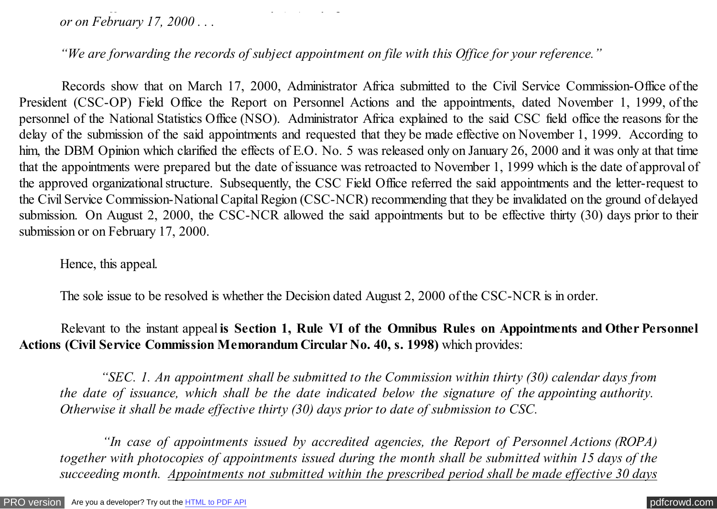*or on February 17, 2000 . . .*

*"We are forwarding the records of subject appointment on file with this Office for your reference."*

 Records show that on March 17, 2000, Administrator Africa submitted to the Civil Service Commission-Office of the President (CSC-OP) Field Office the Report on Personnel Actions and the appointments, dated November 1, 1999, of the personnel of the National Statistics Office (NSO). Administrator Africa explained to the said CSC field office the reasons for the delay of the submission of the said appointments and requested that they be made effective on November 1, 1999. According to him, the DBM Opinion which clarified the effects of E.O. No. 5 was released only on January 26, 2000 and it was only at that time that the appointments were prepared but the date of issuance was retroacted to November 1, 1999 which is the date of approval of the approved organizational structure. Subsequently, the CSC Field Office referred the said appointments and the letter-request to the Civil Service Commission-National Capital Region (CSC-NCR) recommending that they be invalidated on the ground of delayed submission. On August 2, 2000, the CSC-NCR allowed the said appointments but to be effective thirty (30) days prior to their submission or on February 17, 2000.

*allowed effective not earlier than thirty (30) days prior to submission to the Commission on March 17, 2000*

Hence, this appeal.

The sole issue to be resolved is whether the Decision dated August 2, 2000 of the CSC-NCR is in order.

 Relevant to the instant appeal **is Section 1, Rule VI of the Omnibus Rules on Appointments and Other Personnel Actions (Civil Service Commission Memorandum Circular No. 40, s. 1998)** which provides:

 *"SEC. 1. An appointment shall be submitted to the Commission within thirty (30) calendar days from the date of issuance, which shall be the date indicated below the signature of the appointing authority. Otherwise it shall be made effective thirty (30) days prior to date of submission to CSC.*

 *"In case of appointments issued by accredited agencies, the Report of Personnel Actions (ROPA) together with photocopies of appointments issued during the month shall be submitted within 15 days of the succeeding month. Appointments not submitted within the prescribed period shall be made effective 30 days*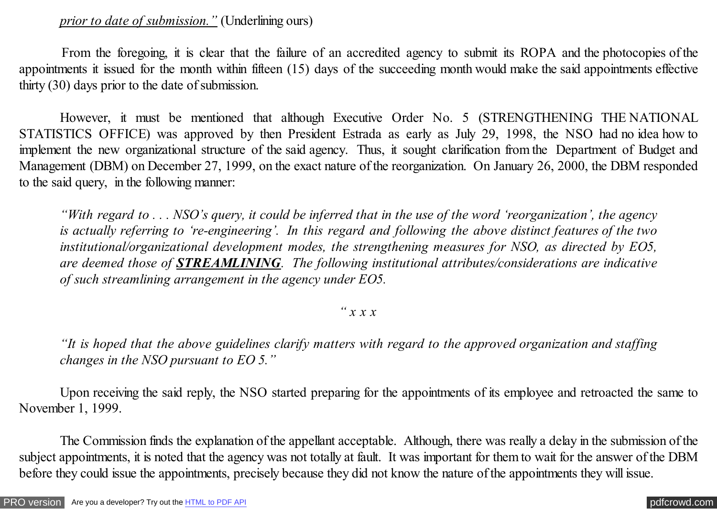*prior to date of submission."* (Underlining ours)

<span id="page-3-0"></span> From the foregoing, it is clear that the failure of an accredited agency to submit its ROPA and the photocopies of the appointments it issued for the month within fifteen (15) days of the succeeding month would make the said appointments effective thirty (30) days prior to the date of submission.

However, it must be mentioned that although Executive Order No. 5 (STRENGTHENING THE NATIONAL STATISTICS OFFICE) was approved by then President Estrada as early as July 29, 1998, the NSO had no idea how to implement the new organizational structure of the said agency. Thus, it sought clarification from the Department of Budget and Management (DBM) on December 27, 1999, on the exact nature of the reorganization. On January 26, 2000, the DBM responded to the said query, in the following manner:

*"With regard to . . . NSO's query, it could be inferred that in the use of the word 'reorganization', the agency is actually referring to 're-engineering'. In this regard and following the above distinct features of the two institutional/organizational development modes, the strengthening measures for NSO, as directed by EO5, are deemed those of STREAMLINING. The following institutional attributes/considerations are indicative of such streamlining arrangement in the agency under EO5.*

## *" x x x*

*"It is hoped that the above guidelines clarify matters with regard to the approved organization and staffing changes in the NSO pursuant to EO 5."*

 Upon receiving the said reply, the NSO started preparing for the appointments of its employee and retroacted the same to November 1, 1999.

 The Commission finds the explanation of the appellant acceptable. Although, there was really a delay in the submission of the subject appointments, it is noted that the agency was not totally at fault. It was important for them to wait for the answer of the DBM before they could issue the appointments, precisely because they did not know the nature of the appointments they will issue.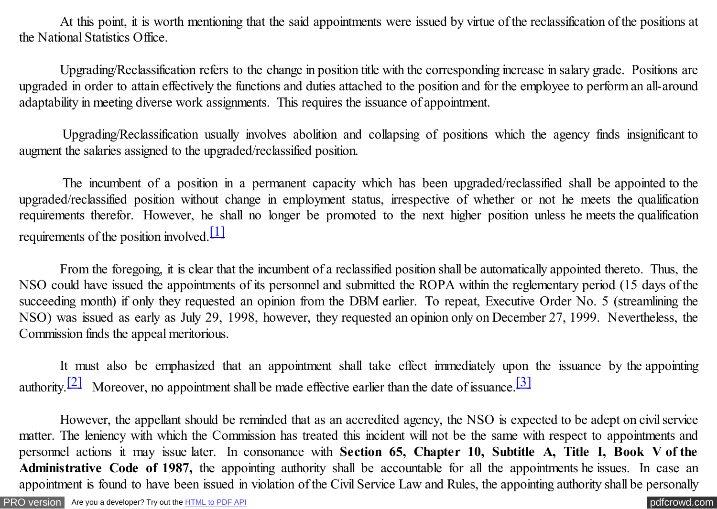At this point, it is worth mentioning that the said appointments were issued by virtue of the reclassification of the positions at the National Statistics Office.

 Upgrading/Reclassification refers to the change in position title with the corresponding increase in salary grade. Positions are upgraded in order to attain effectively the functions and duties attached to the position and for the employee to perform an all-around adaptability in meeting diverse work assignments. This requires the issuance of appointment.

 Upgrading/Reclassification usually involves abolition and collapsing of positions which the agency finds insignificant to augment the salaries assigned to the upgraded/reclassified position.

 The incumbent of a position in a permanent capacity which has been upgraded/reclassified shall be appointed to the upgraded/reclassified position without change in employment status, irrespective of whether or not he meets the qualification requirements therefor. However, he shall no longer be promoted to the next higher position unless he meets the qualification requirements of the position involved. $\boxed{1}$ 

 From the foregoing, it is clear that the incumbent of a reclassified position shall be automatically appointed thereto. Thus, the NSO could have issued the appointments of its personnel and submitted the ROPA within the reglementary period (15 days of the succeeding month) if only they requested an opinion from the DBM earlier. To repeat, Executive Order No. 5 (streamlining the NSO) was issued as early as July 29, 1998, however, they requested an opinion only on December 27, 1999. Nevertheless, the Commission finds the appeal meritorious.

It must also be emphasized that an appointment shall take effect immediately upon the issuance by the appointing authority.<sup>[2]</sup> Moreover, no appointment shall be made effective earlier than the date of issuance.<sup>[3]</sup>

However, the appellant should be reminded that as an accredited agency, the NSO is expected to be adept on civil service matter. The leniency with which the Commission has treated this incident will not be the same with respect to appointments and personnel actions it may issue later. In consonance with **Section 65, Chapter 10, Subtitle A, Title I, Book V of the Administrative Code of 1987,** the appointing authority shall be accountable for all the appointments he issues. In case an appointment is found to have been issued in violation of the Civil Service Law and Rules, the appointing authority shall be personally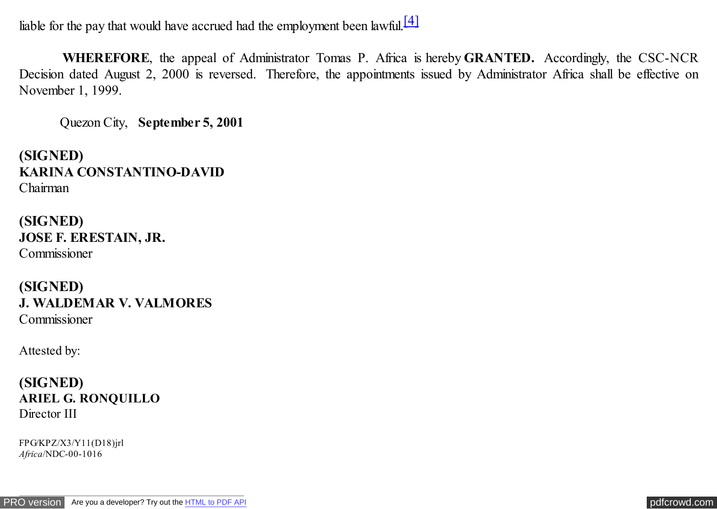liable for the pay that would have accrued had the employment been lawful.<sup>[4]</sup>

 **WHEREFORE**, the appeal of Administrator Tomas P. Africa is hereby **GRANTED.** Accordingly, the CSC-NCR Decision dated August 2, 2000 is reversed. Therefore, the appointments issued by Administrator Africa shall be effective on November 1, 1999.

Quezon City, **September 5, 2001**

**(SIGNED) KARINA CONSTANTINO-DAVID** Chairman

**(SIGNED) JOSE F. ERESTAIN, JR.** Commissioner

**(SIGNED) J. WALDEMAR V. VALMORES** Commissioner

Attested by:

**(SIGNED) ARIEL G. RONQUILLO** Director III

FPG/KPZ/X3/Y11(D18)jrl *Africa*/NDC-00-1016